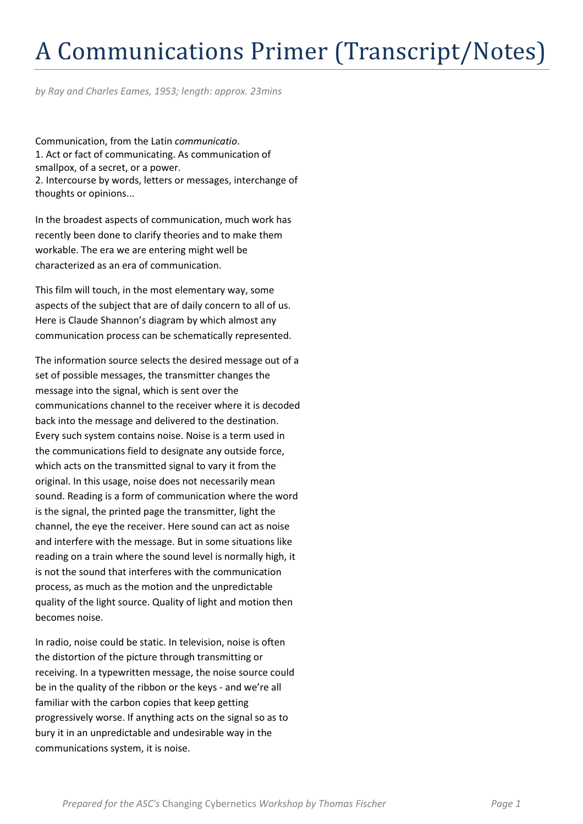## A Communications Primer (Transcript/Notes)

by Ray and Charles Eames, 1953; length: approx. 23mins

Communication, from the Latin communicatio. 1. Act or fact of communicating. As communication of smallpox, of a secret, or a power. 2. Intercourse by words, letters or messages, interchange of thoughts or opinions...

In the broadest aspects of communication, much work has recently been done to clarify theories and to make them workable. The era we are entering might well be characterized as an era of communication.

This film will touch, in the most elementary way, some aspects of the subject that are of daily concern to all of us. Here is Claude Shannon's diagram by which almost any communication process can be schematically represented.

The information source selects the desired message out of a set of possible messages, the transmitter changes the message into the signal, which is sent over the communications channel to the receiver where it is decoded back into the message and delivered to the destination. Every such system contains noise. Noise is a term used in the communications field to designate any outside force, which acts on the transmitted signal to vary it from the original. In this usage, noise does not necessarily mean sound. Reading is a form of communication where the word is the signal, the printed page the transmitter, light the channel, the eye the receiver. Here sound can act as noise and interfere with the message. But in some situations like reading on a train where the sound level is normally high, it is not the sound that interferes with the communication process, as much as the motion and the unpredictable quality of the light source. Quality of light and motion then becomes noise.

In radio, noise could be static. In television, noise is often the distortion of the picture through transmitting or receiving. In a typewritten message, the noise source could be in the quality of the ribbon or the keys - and we're all familiar with the carbon copies that keep getting progressively worse. If anything acts on the signal so as to bury it in an unpredictable and undesirable way in the communications system, it is noise.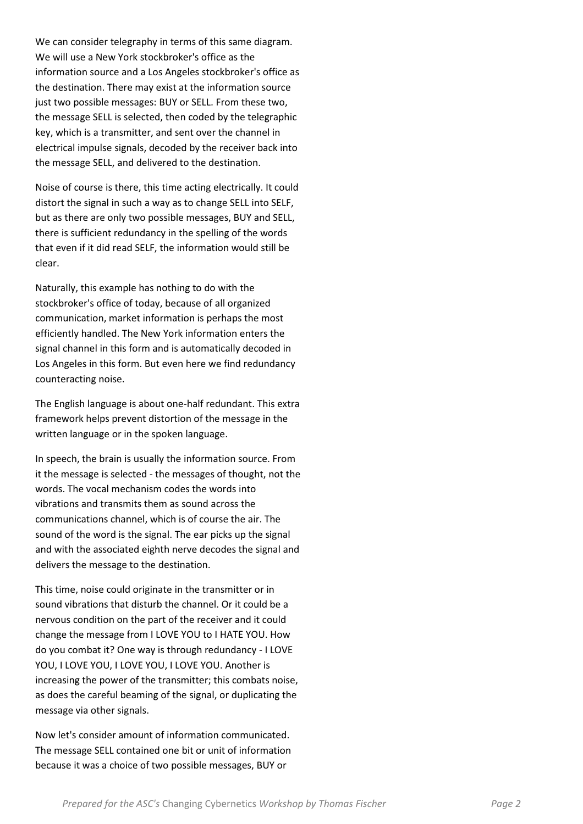We can consider telegraphy in terms of this same diagram. We will use a New York stockbroker's office as the information source and a Los Angeles stockbroker's office as the destination. There may exist at the information source just two possible messages: BUY or SELL. From these two, the message SELL is selected, then coded by the telegraphic key, which is a transmitter, and sent over the channel in electrical impulse signals, decoded by the receiver back into the message SELL, and delivered to the destination.

Noise of course is there, this time acting electrically. It could distort the signal in such a way as to change SELL into SELF, but as there are only two possible messages, BUY and SELL, there is sufficient redundancy in the spelling of the words that even if it did read SELF, the information would still be clear.

Naturally, this example has nothing to do with the stockbroker's office of today, because of all organized communication, market information is perhaps the most efficiently handled. The New York information enters the signal channel in this form and is automatically decoded in Los Angeles in this form. But even here we find redundancy counteracting noise.

The English language is about one-half redundant. This extra framework helps prevent distortion of the message in the written language or in the spoken language.

In speech, the brain is usually the information source. From it the message is selected - the messages of thought, not the words. The vocal mechanism codes the words into vibrations and transmits them as sound across the communications channel, which is of course the air. The sound of the word is the signal. The ear picks up the signal and with the associated eighth nerve decodes the signal and delivers the message to the destination.

This time, noise could originate in the transmitter or in sound vibrations that disturb the channel. Or it could be a nervous condition on the part of the receiver and it could change the message from I LOVE YOU to I HATE YOU. How do you combat it? One way is through redundancy - I LOVE YOU, I LOVE YOU, I LOVE YOU, I LOVE YOU. Another is increasing the power of the transmitter; this combats noise, as does the careful beaming of the signal, or duplicating the message via other signals.

Now let's consider amount of information communicated. The message SELL contained one bit or unit of information because it was a choice of two possible messages, BUY or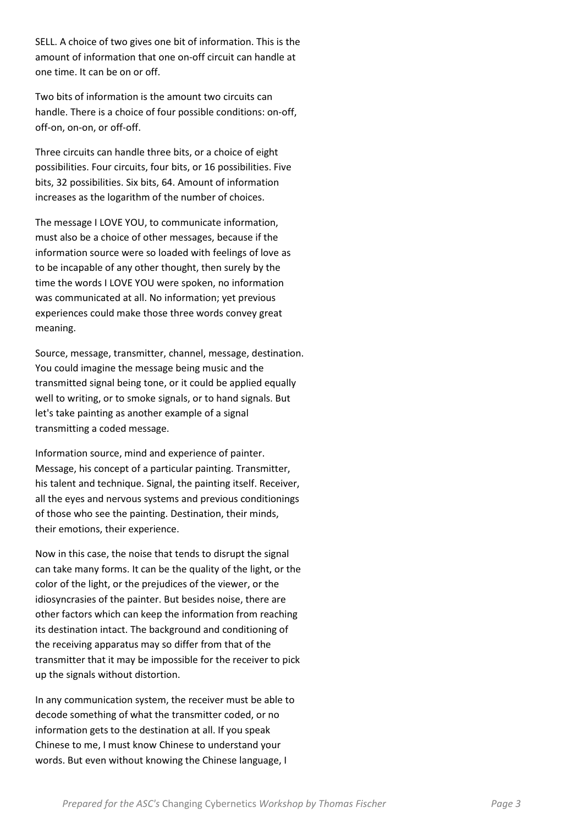SELL. A choice of two gives one bit of information. This is the amount of information that one on-off circuit can handle at one time. It can be on or off.

Two bits of information is the amount two circuits can handle. There is a choice of four possible conditions: on-off, off-on, on-on, or off-off.

Three circuits can handle three bits, or a choice of eight possibilities. Four circuits, four bits, or 16 possibilities. Five bits, 32 possibilities. Six bits, 64. Amount of information increases as the logarithm of the number of choices.

The message I LOVE YOU, to communicate information, must also be a choice of other messages, because if the information source were so loaded with feelings of love as to be incapable of any other thought, then surely by the time the words I LOVE YOU were spoken, no information was communicated at all. No information; yet previous experiences could make those three words convey great meaning.

Source, message, transmitter, channel, message, destination. You could imagine the message being music and the transmitted signal being tone, or it could be applied equally well to writing, or to smoke signals, or to hand signals. But let's take painting as another example of a signal transmitting a coded message.

Information source, mind and experience of painter. Message, his concept of a particular painting. Transmitter, his talent and technique. Signal, the painting itself. Receiver, all the eyes and nervous systems and previous conditionings of those who see the painting. Destination, their minds, their emotions, their experience.

Now in this case, the noise that tends to disrupt the signal can take many forms. It can be the quality of the light, or the color of the light, or the prejudices of the viewer, or the idiosyncrasies of the painter. But besides noise, there are other factors which can keep the information from reaching its destination intact. The background and conditioning of the receiving apparatus may so differ from that of the transmitter that it may be impossible for the receiver to pick up the signals without distortion.

In any communication system, the receiver must be able to decode something of what the transmitter coded, or no information gets to the destination at all. If you speak Chinese to me, I must know Chinese to understand your words. But even without knowing the Chinese language, I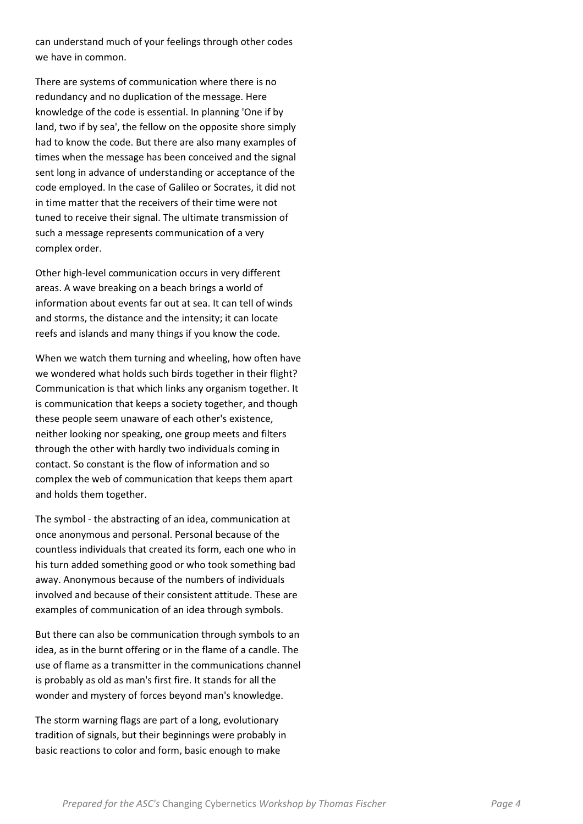can understand much of your feelings through other codes we have in common.

There are systems of communication where there is no redundancy and no duplication of the message. Here knowledge of the code is essential. In planning 'One if by land, two if by sea', the fellow on the opposite shore simply had to know the code. But there are also many examples of times when the message has been conceived and the signal sent long in advance of understanding or acceptance of the code employed. In the case of Galileo or Socrates, it did not in time matter that the receivers of their time were not tuned to receive their signal. The ultimate transmission of such a message represents communication of a very complex order.

Other high-level communication occurs in very different areas. A wave breaking on a beach brings a world of information about events far out at sea. It can tell of winds and storms, the distance and the intensity; it can locate reefs and islands and many things if you know the code.

When we watch them turning and wheeling, how often have we wondered what holds such birds together in their flight? Communication is that which links any organism together. It is communication that keeps a society together, and though these people seem unaware of each other's existence, neither looking nor speaking, one group meets and filters through the other with hardly two individuals coming in contact. So constant is the flow of information and so complex the web of communication that keeps them apart and holds them together.

The symbol - the abstracting of an idea, communication at once anonymous and personal. Personal because of the countless individuals that created its form, each one who in his turn added something good or who took something bad away. Anonymous because of the numbers of individuals involved and because of their consistent attitude. These are examples of communication of an idea through symbols.

But there can also be communication through symbols to an idea, as in the burnt offering or in the flame of a candle. The use of flame as a transmitter in the communications channel is probably as old as man's first fire. It stands for all the wonder and mystery of forces beyond man's knowledge.

The storm warning flags are part of a long, evolutionary tradition of signals, but their beginnings were probably in basic reactions to color and form, basic enough to make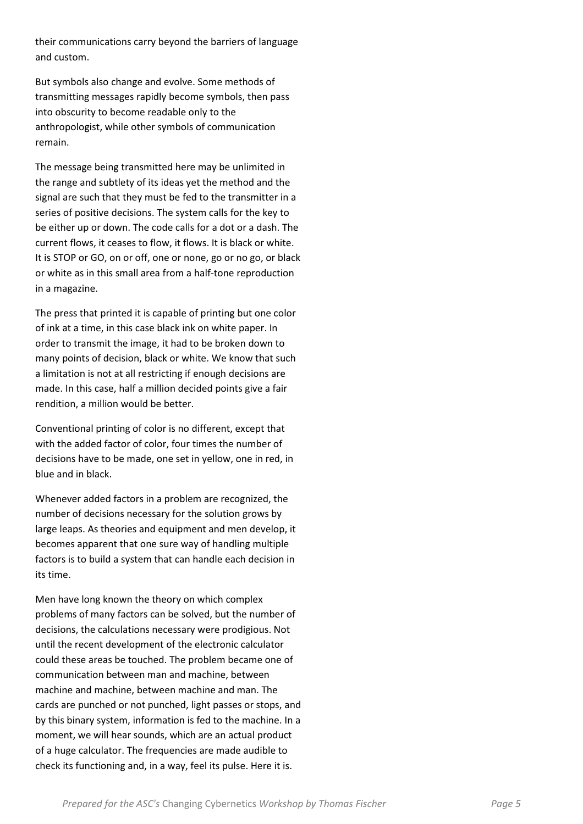their communications carry beyond the barriers of language and custom.

But symbols also change and evolve. Some methods of transmitting messages rapidly become symbols, then pass into obscurity to become readable only to the anthropologist, while other symbols of communication remain.

The message being transmitted here may be unlimited in the range and subtlety of its ideas yet the method and the signal are such that they must be fed to the transmitter in a series of positive decisions. The system calls for the key to be either up or down. The code calls for a dot or a dash. The current flows, it ceases to flow, it flows. It is black or white. It is STOP or GO, on or off, one or none, go or no go, or black or white as in this small area from a half-tone reproduction in a magazine.

The press that printed it is capable of printing but one color of ink at a time, in this case black ink on white paper. In order to transmit the image, it had to be broken down to many points of decision, black or white. We know that such a limitation is not at all restricting if enough decisions are made. In this case, half a million decided points give a fair rendition, a million would be better.

Conventional printing of color is no different, except that with the added factor of color, four times the number of decisions have to be made, one set in yellow, one in red, in blue and in black.

Whenever added factors in a problem are recognized, the number of decisions necessary for the solution grows by large leaps. As theories and equipment and men develop, it becomes apparent that one sure way of handling multiple factors is to build a system that can handle each decision in its time.

Men have long known the theory on which complex problems of many factors can be solved, but the number of decisions, the calculations necessary were prodigious. Not until the recent development of the electronic calculator could these areas be touched. The problem became one of communication between man and machine, between machine and machine, between machine and man. The cards are punched or not punched, light passes or stops, and by this binary system, information is fed to the machine. In a moment, we will hear sounds, which are an actual product of a huge calculator. The frequencies are made audible to check its functioning and, in a way, feel its pulse. Here it is.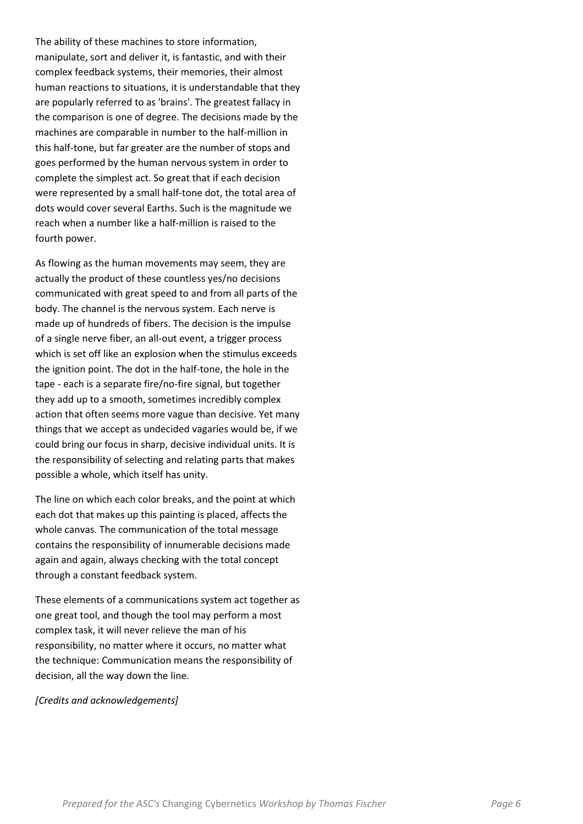The ability of these machines to store information, manipulate, sort and deliver it, is fantastic, and with their complex feedback systems, their memories, their almost human reactions to situations, it is understandable that they are popularly referred to as 'brains'. The greatest fallacy in the comparison is one of degree. The decisions made by the machines are comparable in number to the half-million in this half-tone, but far greater are the number of stops and goes performed by the human nervous system in order to complete the simplest act. So great that if each decision were represented by a small half-tone dot, the total area of dots would cover several Earths. Such is the magnitude we reach when a number like a half-million is raised to the fourth power.

As flowing as the human movements may seem, they are actually the product of these countless yes/no decisions communicated with great speed to and from all parts of the body. The channel is the nervous system. Each nerve is made up of hundreds of fibers. The decision is the impulse of a single nerve fiber, an all-out event, a trigger process which is set off like an explosion when the stimulus exceeds the ignition point. The dot in the half-tone, the hole in the tape - each is a separate fire/no-fire signal, but together they add up to a smooth, sometimes incredibly complex action that often seems more vague than decisive. Yet many things that we accept as undecided vagaries would be, if we could bring our focus in sharp, decisive individual units. It is the responsibility of selecting and relating parts that makes possible a whole, which itself has unity.

The line on which each color breaks, and the point at which each dot that makes up this painting is placed, affects the whole canvas. The communication of the total message contains the responsibility of innumerable decisions made again and again, always checking with the total concept through a constant feedback system.

These elements of a communications system act together as one great tool, and though the tool may perform a most complex task, it will never relieve the man of his responsibility, no matter where it occurs, no matter what the technique: Communication means the responsibility of decision, all the way down the line.

## [Credits and acknowledgements]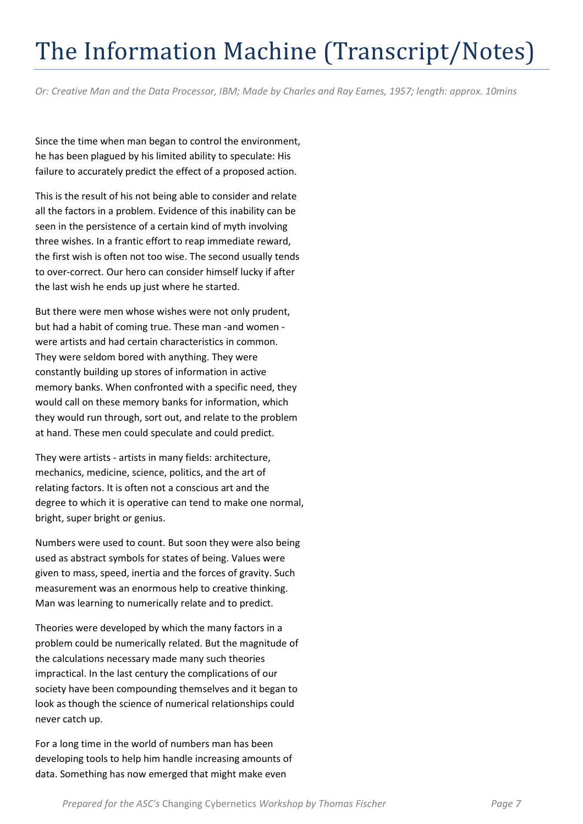## The Information Machine (Transcript/Notes)

Or: Creative Man and the Data Processor, IBM; Made by Charles and Ray Eames, 1957; length: approx. 10mins

Since the time when man began to control the environment, he has been plagued by his limited ability to speculate: His failure to accurately predict the effect of a proposed action.

This is the result of his not being able to consider and relate all the factors in a problem. Evidence of this inability can be seen in the persistence of a certain kind of myth involving three wishes. In a frantic effort to reap immediate reward, the first wish is often not too wise. The second usually tends to over-correct. Our hero can consider himself lucky if after the last wish he ends up just where he started.

But there were men whose wishes were not only prudent, but had a habit of coming true. These man -and women were artists and had certain characteristics in common. They were seldom bored with anything. They were constantly building up stores of information in active memory banks. When confronted with a specific need, they would call on these memory banks for information, which they would run through, sort out, and relate to the problem at hand. These men could speculate and could predict.

They were artists - artists in many fields: architecture, mechanics, medicine, science, politics, and the art of relating factors. It is often not a conscious art and the degree to which it is operative can tend to make one normal, bright, super bright or genius.

Numbers were used to count. But soon they were also being used as abstract symbols for states of being. Values were given to mass, speed, inertia and the forces of gravity. Such measurement was an enormous help to creative thinking. Man was learning to numerically relate and to predict.

Theories were developed by which the many factors in a problem could be numerically related. But the magnitude of the calculations necessary made many such theories impractical. In the last century the complications of our society have been compounding themselves and it began to look as though the science of numerical relationships could never catch up.

For a long time in the world of numbers man has been developing tools to help him handle increasing amounts of data. Something has now emerged that might make even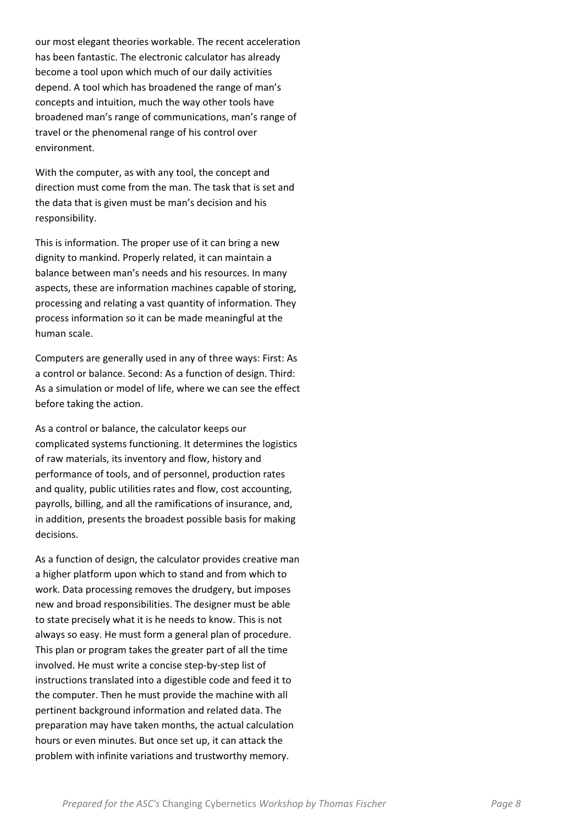our most elegant theories workable. The recent acceleration has been fantastic. The electronic calculator has already become a tool upon which much of our daily activities depend. A tool which has broadened the range of man's concepts and intuition, much the way other tools have broadened man's range of communications, man's range of travel or the phenomenal range of his control over environment.

With the computer, as with any tool, the concept and direction must come from the man. The task that is set and the data that is given must be man's decision and his responsibility.

This is information. The proper use of it can bring a new dignity to mankind. Properly related, it can maintain a balance between man's needs and his resources. In many aspects, these are information machines capable of storing, processing and relating a vast quantity of information. They process information so it can be made meaningful at the human scale.

Computers are generally used in any of three ways: First: As a control or balance. Second: As a function of design. Third: As a simulation or model of life, where we can see the effect before taking the action.

As a control or balance, the calculator keeps our complicated systems functioning. It determines the logistics of raw materials, its inventory and flow, history and performance of tools, and of personnel, production rates and quality, public utilities rates and flow, cost accounting, payrolls, billing, and all the ramifications of insurance, and, in addition, presents the broadest possible basis for making decisions.

As a function of design, the calculator provides creative man a higher platform upon which to stand and from which to work. Data processing removes the drudgery, but imposes new and broad responsibilities. The designer must be able to state precisely what it is he needs to know. This is not always so easy. He must form a general plan of procedure. This plan or program takes the greater part of all the time involved. He must write a concise step-by-step list of instructions translated into a digestible code and feed it to the computer. Then he must provide the machine with all pertinent background information and related data. The preparation may have taken months, the actual calculation hours or even minutes. But once set up, it can attack the problem with infinite variations and trustworthy memory.